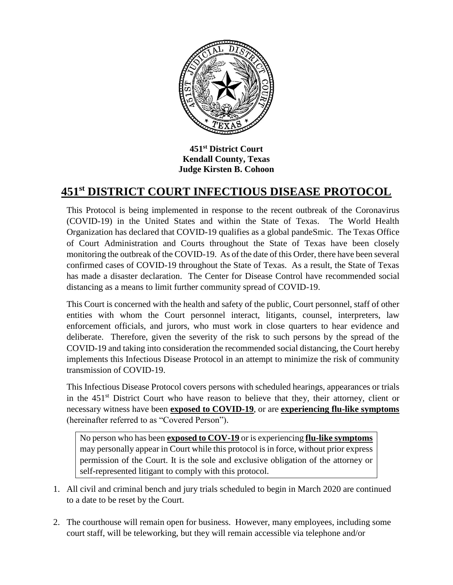

**451st District Court Kendall County, Texas Judge Kirsten B. Cohoon**

## **451st DISTRICT COURT INFECTIOUS DISEASE PROTOCOL**

This Protocol is being implemented in response to the recent outbreak of the Coronavirus (COVID-19) in the United States and within the State of Texas. The World Health Organization has declared that COVID-19 qualifies as a global pandeSmic. The Texas Office of Court Administration and Courts throughout the State of Texas have been closely monitoring the outbreak of the COVID-19. As of the date of this Order, there have been several confirmed cases of COVID-19 throughout the State of Texas. As a result, the State of Texas has made a disaster declaration. The Center for Disease Control have recommended social distancing as a means to limit further community spread of COVID-19.

This Court is concerned with the health and safety of the public, Court personnel, staff of other entities with whom the Court personnel interact, litigants, counsel, interpreters, law enforcement officials, and jurors, who must work in close quarters to hear evidence and deliberate. Therefore, given the severity of the risk to such persons by the spread of the COVID-19 and taking into consideration the recommended social distancing, the Court hereby implements this Infectious Disease Protocol in an attempt to minimize the risk of community transmission of COVID-19.

This Infectious Disease Protocol covers persons with scheduled hearings, appearances or trials in the  $451<sup>st</sup>$  District Court who have reason to believe that they, their attorney, client or necessary witness have been **exposed to COVID-19**, or are **experiencing flu-like symptoms** (hereinafter referred to as "Covered Person").

No person who has been **exposed to COV-19** or is experiencing **flu-like symptoms** may personally appear in Court while this protocol is in force, without prior express permission of the Court. It is the sole and exclusive obligation of the attorney or self-represented litigant to comply with this protocol.

- 1. All civil and criminal bench and jury trials scheduled to begin in March 2020 are continued to a date to be reset by the Court.
- 2. The courthouse will remain open for business. However, many employees, including some court staff, will be teleworking, but they will remain accessible via telephone and/or